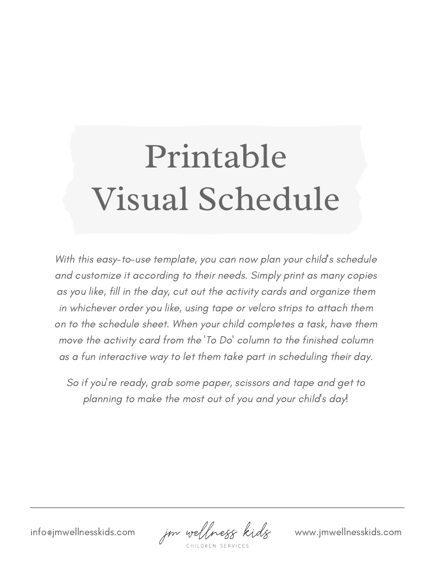## Printable Visual Schedule

With this easy-to-use template, you can now plan your child's schedule and customize it according to their needs. Simply print as many copies as you like, fill in the day, cut out the activity cards and organize them

So if you ' re ready, grab some paper, scissors and tape and get to planning to make the most out of you and your child's day!

info@jmwellnesskids.com *jm wellness kids* www.jmwellnesskids.com

in whichever order you like, using tape or velcro strips to attach them on to the schedule sheet. When your child completes a task, have them move the activity card from the 'To Do ' column to the finished column as a fun interactive way to let them take part in scheduling their day.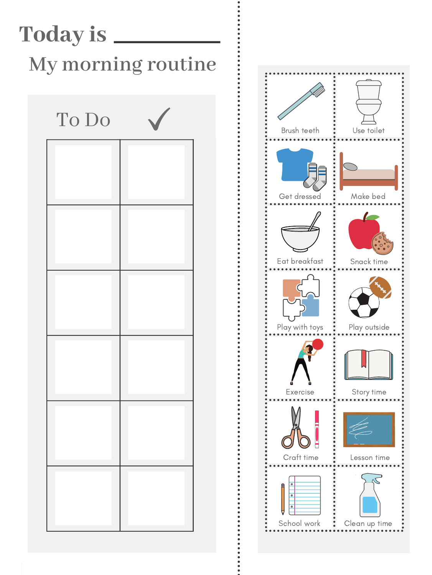

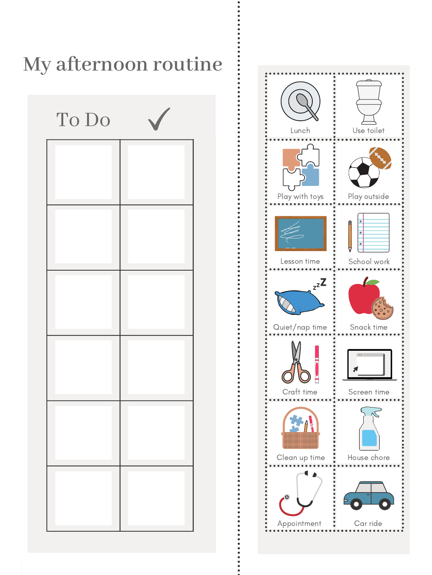